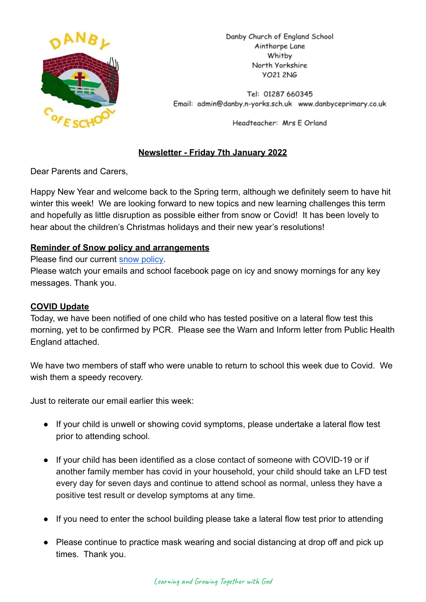

Danby Church of England School Ainthorpe Lane Whitby North Yorkshire **YO21 2NG** 

Tel: 01287 660345 Email: admin@danby.n-yorks.sch.uk www.danbyceprimary.co.uk

Headteacher: Mrs E Orland

# **Newsletter - Friday 7th January 2022**

Dear Parents and Carers,

Happy New Year and welcome back to the Spring term, although we definitely seem to have hit winter this week! We are looking forward to new topics and new learning challenges this term and hopefully as little disruption as possible either from snow or Covid! It has been lovely to hear about the children's Christmas holidays and their new year's resolutions!

#### **Reminder of Snow policy and arrangements**

Please find our current [snow policy.](https://drive.google.com/file/d/1PQF-KS64Fiqqa-jJlT9mfUV8MedCZC4v/view?usp=sharing)

Please watch your emails and school facebook page on icy and snowy mornings for any key messages. Thank you.

# **COVID Update**

Today, we have been notified of one child who has tested positive on a lateral flow test this morning, yet to be confirmed by PCR. Please see the Warn and Inform letter from Public Health England attached.

We have two members of staff who were unable to return to school this week due to Covid. We wish them a speedy recovery.

Just to reiterate our email earlier this week:

- If your child is unwell or showing covid symptoms, please undertake a lateral flow test prior to attending school.
- If your child has been identified as a close contact of someone with COVID-19 or if another family member has covid in your household, your child should take an LFD test every day for seven days and continue to attend school as normal, unless they have a positive test result or develop symptoms at any time.
- If you need to enter the school building please take a lateral flow test prior to attending
- Please continue to practice mask wearing and social distancing at drop off and pick up times. Thank you.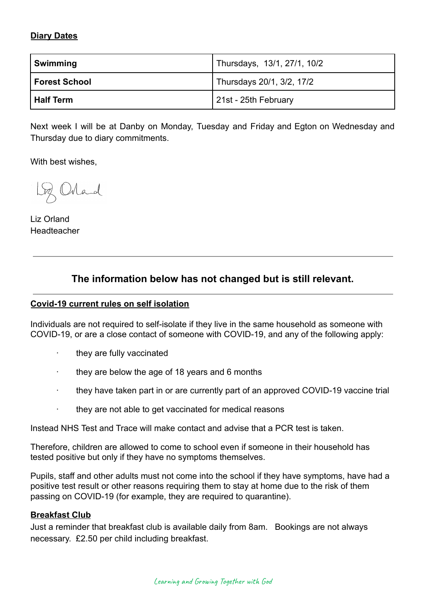# **Diary Dates**

| Swimming         | Thursdays, 13/1, 27/1, 10/2 |
|------------------|-----------------------------|
| Forest School    | Thursdays 20/1, 3/2, 17/2   |
| <b>Half Term</b> | 21st - 25th February        |

Next week I will be at Danby on Monday, Tuesday and Friday and Egton on Wednesday and Thursday due to diary commitments.

With best wishes,

Loz Orland

Liz Orland Headteacher

# **The information below has not changed but is still relevant.**

#### **Covid-19 current rules on self isolation**

Individuals are not required to self-isolate if they live in the same household as someone with COVID-19, or are a close contact of someone with COVID-19, and any of the following apply:

- they are fully vaccinated
- · they are below the age of 18 years and 6 months
- · they have taken part in or are currently part of an approved COVID-19 vaccine trial
- · they are not able to get vaccinated for medical reasons

Instead NHS Test and Trace will make contact and advise that a PCR test is taken.

Therefore, children are allowed to come to school even if someone in their household has tested positive but only if they have no symptoms themselves.

Pupils, staff and other adults must not come into the school if they have symptoms, have had a positive test result or other reasons requiring them to stay at home due to the risk of them passing on COVID-19 (for example, they are required to quarantine).

#### **Breakfast Club**

Just a reminder that breakfast club is available daily from 8am. Bookings are not always necessary. £2.50 per child including breakfast.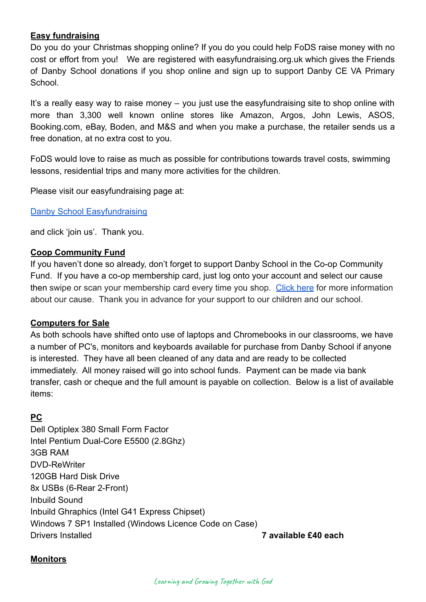### **Easy fundraising**

Do you do your Christmas shopping online? If you do you could help FoDS raise money with no cost or effort from you! We are registered with easyfundraising.org.uk which gives the Friends of Danby School donations if you shop online and sign up to support Danby CE VA Primary School.

It's a really easy way to raise money – you just use the easyfundraising site to shop online with more than 3,300 well known online stores like Amazon, Argos, John Lewis, ASOS, Booking.com, eBay, Boden, and M&S and when you make a purchase, the retailer sends us a free donation, at no extra cost to you.

FoDS would love to raise as much as possible for contributions towards travel costs, swimming lessons, residential trips and many more activities for the children.

Please visit our easyfundraising page at:

[Danby School Easyfundraising](https://www.easyfundraising.org.uk/causes/danbysch/?q=Danby%20School&cat=cause-autosuggest)

and click 'join us'. Thank you.

#### **Coop Community Fund**

If you haven't done so already, don't forget to support Danby School in the Co-op Community Fund. If you have a co-op membership card, just log onto your account and select our cause then swipe or scan your membership card every time you shop. [Click here](https://co-operate.coop.co.uk/groups/danby-church-of-england-primary-school/) for more information about our cause. Thank you in advance for your support to our children and our school.

#### **Computers for Sale**

As both schools have shifted onto use of laptops and Chromebooks in our classrooms, we have a number of PC's, monitors and keyboards available for purchase from Danby School if anyone is interested. They have all been cleaned of any data and are ready to be collected immediately. All money raised will go into school funds. Payment can be made via bank transfer, cash or cheque and the full amount is payable on collection. Below is a list of available items:

# **PC**

Dell Optiplex 380 Small Form Factor Intel Pentium Dual-Core E5500 (2.8Ghz) 3GB RAM DVD-ReWriter 120GB Hard Disk Drive 8x USBs (6-Rear 2-Front) Inbuild Sound Inbuild Ghraphics (Intel G41 Express Chipset) Windows 7 SP1 Installed (Windows Licence Code on Case) Drivers Installed **7 available £40 each**

# **Monitors**